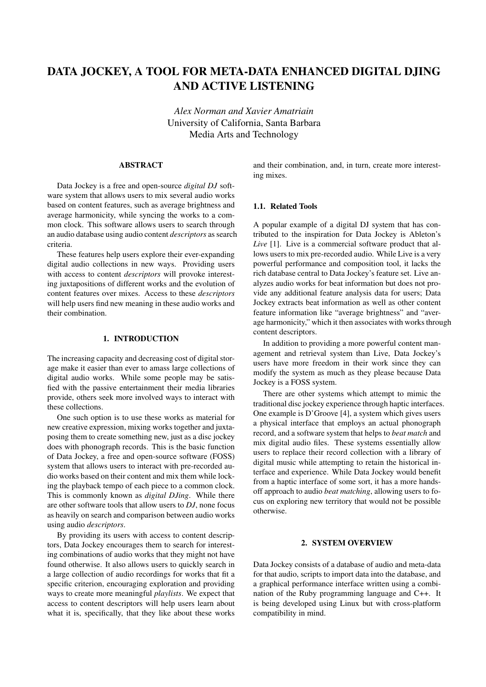# DATA JOCKEY, A TOOL FOR META-DATA ENHANCED DIGITAL DJING AND ACTIVE LISTENING

*Alex Norman and Xavier Amatriain* University of California, Santa Barbara Media Arts and Technology

# ABSTRACT

Data Jockey is a free and open-source *digital DJ* software system that allows users to mix several audio works based on content features, such as average brightness and average harmonicity, while syncing the works to a common clock. This software allows users to search through an audio database using audio content *descriptors* as search criteria.

These features help users explore their ever-expanding digital audio collections in new ways. Providing users with access to content *descriptors* will provoke interesting juxtapositions of different works and the evolution of content features over mixes. Access to these *descriptors* will help users find new meaning in these audio works and their combination.

#### 1. INTRODUCTION

The increasing capacity and decreasing cost of digital storage make it easier than ever to amass large collections of digital audio works. While some people may be satisfied with the passive entertainment their media libraries provide, others seek more involved ways to interact with these collections.

One such option is to use these works as material for new creative expression, mixing works together and juxtaposing them to create something new, just as a disc jockey does with phonograph records. This is the basic function of Data Jockey, a free and open-source software (FOSS) system that allows users to interact with pre-recorded audio works based on their content and mix them while locking the playback tempo of each piece to a common clock. This is commonly known as *digital DJing*. While there are other software tools that allow users to *DJ*, none focus as heavily on search and comparison between audio works using audio *descriptors*.

By providing its users with access to content descriptors, Data Jockey encourages them to search for interesting combinations of audio works that they might not have found otherwise. It also allows users to quickly search in a large collection of audio recordings for works that fit a specific criterion, encouraging exploration and providing ways to create more meaningful *playlists*. We expect that access to content descriptors will help users learn about what it is, specifically, that they like about these works and their combination, and, in turn, create more interesting mixes.

## 1.1. Related Tools

A popular example of a digital DJ system that has contributed to the inspiration for Data Jockey is Ableton's *Live* [1]. Live is a commercial software product that allows users to mix pre-recorded audio. While Live is a very powerful performance and composition tool, it lacks the rich database central to Data Jockey's feature set. Live analyzes audio works for beat information but does not provide any additional feature analysis data for users; Data Jockey extracts beat information as well as other content feature information like "average brightness" and "average harmonicity," which it then associates with works through content descriptors.

In addition to providing a more powerful content management and retrieval system than Live, Data Jockey's users have more freedom in their work since they can modify the system as much as they please because Data Jockey is a FOSS system.

There are other systems which attempt to mimic the traditional disc jockey experience through haptic interfaces. One example is D'Groove [4], a system which gives users a physical interface that employs an actual phonograph record, and a software system that helps to *beat match* and mix digital audio files. These systems essentially allow users to replace their record collection with a library of digital music while attempting to retain the historical interface and experience. While Data Jockey would benefit from a haptic interface of some sort, it has a more handsoff approach to audio *beat matching*, allowing users to focus on exploring new territory that would not be possible otherwise.

## 2. SYSTEM OVERVIEW

Data Jockey consists of a database of audio and meta-data for that audio, scripts to import data into the database, and a graphical performance interface written using a combination of the Ruby programming language and C++. It is being developed using Linux but with cross-platform compatibility in mind.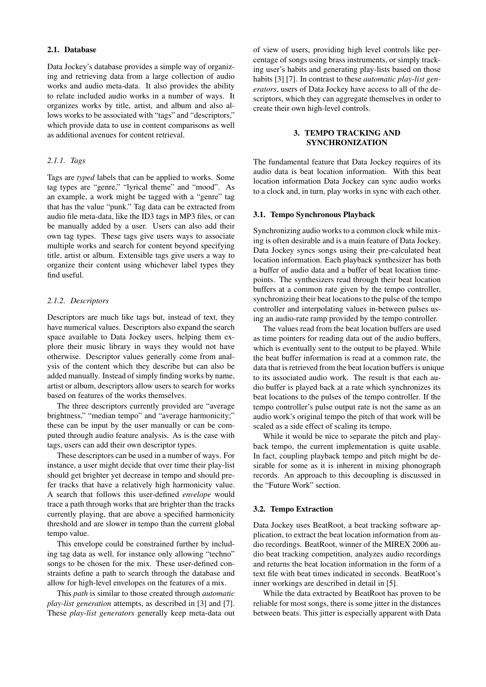## 2.1. Database

Data Jockey's database provides a simple way of organizing and retrieving data from a large collection of audio works and audio meta-data. It also provides the ability to relate included audio works in a number of ways. It organizes works by title, artist, and album and also allows works to be associated with "tags" and "descriptors," which provide data to use in content comparisons as well as additional avenues for content retrieval.

# *2.1.1. Tags*

Tags are *typed* labels that can be applied to works. Some tag types are "genre," "lyrical theme" and "mood". As an example, a work might be tagged with a "genre" tag that has the value "punk." Tag data can be extracted from audio file meta-data, like the ID3 tags in MP3 files, or can be manually added by a user. Users can also add their own tag types. These tags give users ways to associate multiple works and search for content beyond specifying title, artist or album. Extensible tags give users a way to organize their content using whichever label types they find useful.

#### *2.1.2. Descriptors*

Descriptors are much like tags but, instead of text, they have numerical values. Descriptors also expand the search space available to Data Jockey users, helping them explore their music library in ways they would not have otherwise. Descriptor values generally come from analysis of the content which they describe but can also be added manually. Instead of simply finding works by name, artist or album, descriptors allow users to search for works based on features of the works themselves.

The three descriptors currently provided are "average brightness," "median tempo" and "average harmonicity;" these can be input by the user manually or can be computed through audio feature analysis. As is the case with tags, users can add their own descriptor types.

These descriptors can be used in a number of ways. For instance, a user might decide that over time their play-list should get brighter yet decrease in tempo and should prefer tracks that have a relatively high harmonicity value. A search that follows this user-defined *envelope* would trace a path through works that are brighter than the tracks currently playing, that are above a specified harmonicity threshold and are slower in tempo than the current global tempo value.

This envelope could be constrained further by including tag data as well, for instance only allowing "techno" songs to be chosen for the mix. These user-defined constraints define a path to search through the database and allow for high-level envelopes on the features of a mix.

This *path* is similar to those created through *automatic play-list generation* attempts, as described in [3] and [7]. These *play-list generators* generally keep meta-data out of view of users, providing high level controls like percentage of songs using brass instruments, or simply tracking user's habits and generating play-lists based on those habits [3] [7]. In contrast to these *automatic play-list generators*, users of Data Jockey have access to all of the descriptors, which they can aggregate themselves in order to create their own high-level controls.

## 3. TEMPO TRACKING AND SYNCHRONIZATION

The fundamental feature that Data Jockey requires of its audio data is beat location information. With this beat location information Data Jockey can sync audio works to a clock and, in turn, play works in sync with each other.

#### 3.1. Tempo Synchronous Playback

Synchronizing audio works to a common clock while mixing is often desirable and is a main feature of Data Jockey. Data Jockey syncs songs using their pre-calculated beat location information. Each playback synthesizer has both a buffer of audio data and a buffer of beat location timepoints. The synthesizers read through their beat location buffers at a common rate given by the tempo controller, synchronizing their beat locations to the pulse of the tempo controller and interpolating values in-between pulses using an audio-rate ramp provided by the tempo controller.

The values read from the beat location buffers are used as time pointers for reading data out of the audio buffers, which is eventually sent to the output to be played. While the beat buffer information is read at a common rate, the data that is retrieved from the beat location buffers is unique to its associated audio work. The result is that each audio buffer is played back at a rate which synchronizes its beat locations to the pulses of the tempo controller. If the tempo controller's pulse output rate is not the same as an audio work's original tempo the pitch of that work will be scaled as a side effect of scaling its tempo.

While it would be nice to separate the pitch and playback tempo, the current implementation is quite usable. In fact, coupling playback tempo and pitch might be desirable for some as it is inherent in mixing phonograph records. An approach to this decoupling is discussed in the "Future Work" section.

### 3.2. Tempo Extraction

Data Jockey uses BeatRoot, a beat tracking software application, to extract the beat location information from audio recordings. BeatRoot, winner of the MIREX 2006 audio beat tracking competition, analyzes audio recordings and returns the beat location information in the form of a text file with beat times indicated in seconds. BeatRoot's inner workings are described in detail in [5].

While the data extracted by BeatRoot has proven to be reliable for most songs, there is some jitter in the distances between beats. This jitter is especially apparent with Data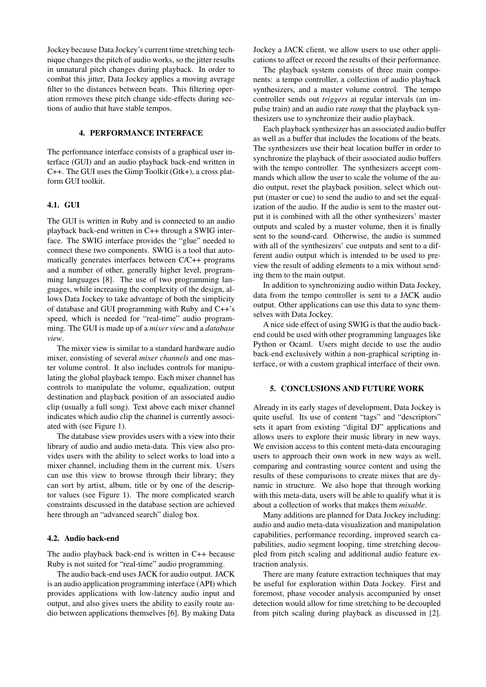Jockey because Data Jockey's current time stretching technique changes the pitch of audio works, so the jitter results in unnatural pitch changes during playback. In order to combat this jitter, Data Jockey applies a moving average filter to the distances between beats. This filtering operation removes these pitch change side-effects during sections of audio that have stable tempos.

## 4. PERFORMANCE INTERFACE

The performance interface consists of a graphical user interface (GUI) and an audio playback back-end written in C++. The GUI uses the Gimp Toolkit (Gtk+), a cross platform GUI toolkit.

## 4.1. GUI

The GUI is written in Ruby and is connected to an audio playback back-end written in C++ through a SWIG interface. The SWIG interface provides the "glue" needed to connect these two components. SWIG is a tool that automatically generates interfaces between C/C++ programs and a number of other, generally higher level, programming languages [8]. The use of two programming languages, while increasing the complexity of the design, allows Data Jockey to take advantage of both the simplicity of database and GUI programming with Ruby and C++'s speed, which is needed for "real-time" audio programming. The GUI is made up of a *mixer view* and a *database view*.

The mixer view is similar to a standard hardware audio mixer, consisting of several *mixer channels* and one master volume control. It also includes controls for manipulating the global playback tempo. Each mixer channel has controls to manipulate the volume, equalization, output destination and playback position of an associated audio clip (usually a full song). Text above each mixer channel indicates which audio clip the channel is currently associated with (see Figure 1).

The database view provides users with a view into their library of audio and audio meta-data. This view also provides users with the ability to select works to load into a mixer channel, including them in the current mix. Users can use this view to browse through their library; they can sort by artist, album, title or by one of the descriptor values (see Figure 1). The more complicated search constraints discussed in the database section are achieved here through an "advanced search" dialog box.

#### 4.2. Audio back-end

The audio playback back-end is written in C++ because Ruby is not suited for "real-time" audio programming.

The audio back-end uses JACK for audio output. JACK is an audio application programming interface (API) which provides applications with low-latency audio input and output, and also gives users the ability to easily route audio between applications themselves [6]. By making Data

Jockey a JACK client, we allow users to use other applications to affect or record the results of their performance.

The playback system consists of three main components: a tempo controller, a collection of audio playback synthesizers, and a master volume control. The tempo controller sends out *triggers* at regular intervals (an impulse train) and an audio rate *ramp* that the playback synthesizers use to synchronize their audio playback.

Each playback synthesizer has an associated audio buffer as well as a buffer that includes the locations of the beats. The synthesizers use their beat location buffer in order to synchronize the playback of their associated audio buffers with the tempo controller. The synthesizers accept commands which allow the user to scale the volume of the audio output, reset the playback position, select which output (master or cue) to send the audio to and set the equalization of the audio. If the audio is sent to the master output it is combined with all the other synthesizers' master outputs and scaled by a master volume, then it is finally sent to the sound-card. Otherwise, the audio is summed with all of the synthesizers' cue outputs and sent to a different audio output which is intended to be used to preview the result of adding elements to a mix without sending them to the main output.

In addition to synchronizing audio within Data Jockey, data from the tempo controller is sent to a JACK audio output. Other applications can use this data to sync themselves with Data Jockey.

A nice side effect of using SWIG is that the audio backend could be used with other programming languages like Python or Ocaml. Users might decide to use the audio back-end exclusively within a non-graphical scripting interface, or with a custom graphical interface of their own.

## 5. CONCLUSIONS AND FUTURE WORK

Already in its early stages of development, Data Jockey is quite useful. Its use of content "tags" and "descriptors" sets it apart from existing "digital DJ" applications and allows users to explore their music library in new ways. We envision access to this content meta-data encouraging users to approach their own work in new ways as well, comparing and contrasting source content and using the results of these comparisons to create mixes that are dynamic in structure. We also hope that through working with this meta-data, users will be able to qualify what it is about a collection of works that makes them *mixable*.

Many additions are planned for Data Jockey including: audio and audio meta-data visualization and manipulation capabilities, performance recording, improved search capabilities, audio segment looping, time stretching decoupled from pitch scaling and additional audio feature extraction analysis.

There are many feature extraction techniques that may be useful for exploration within Data Jockey. First and foremost, phase vocoder analysis accompanied by onset detection would allow for time stretching to be decoupled from pitch scaling during playback as discussed in [2].